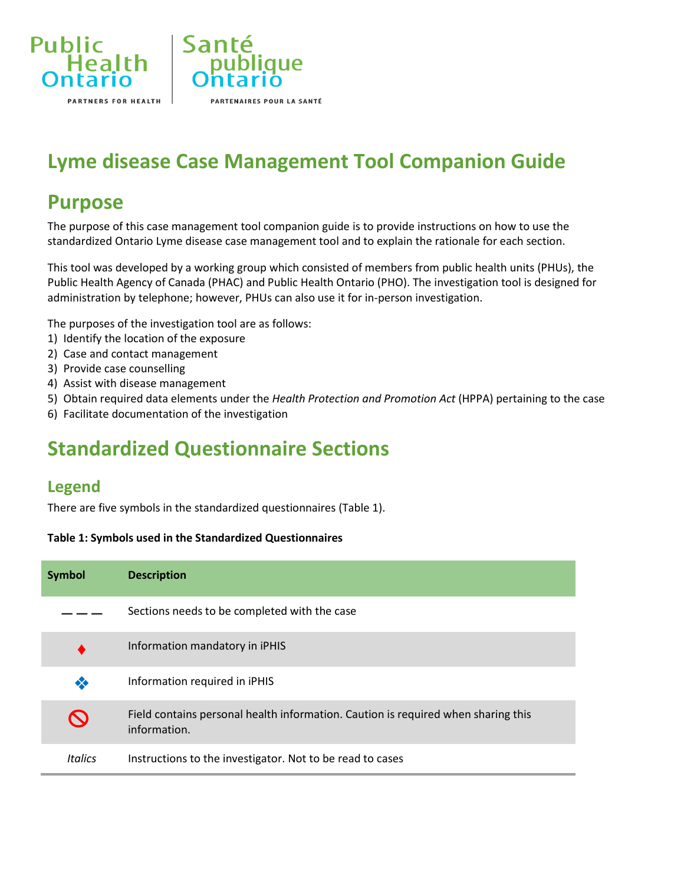

# **Lyme disease Case Management Tool Companion Guide**

iaue

PARTENAIRES POUR LA SANTÉ

### **Purpose**

The purpose of this case management tool companion guide is to provide instructions on how to use the standardized Ontario Lyme disease case management tool and to explain the rationale for each section.

This tool was developed by a working group which consisted of members from public health units (PHUs), the Public Health Agency of Canada (PHAC) and Public Health Ontario (PHO). The investigation tool is designed for administration by telephone; however, PHUs can also use it for in-person investigation.

The purposes of the investigation tool are as follows:

- 1) Identify the location of the exposure
- 2) Case and contact management
- 3) Provide case counselling
- 4) Assist with disease management
- 5) Obtain required data elements under the *Health Protection and Promotion Act* (HPPA) pertaining to the case
- 6) Facilitate documentation of the investigation

## **Standardized Questionnaire Sections**

#### **Legend**

There are five symbols in the standardized questionnaires (Table 1).

#### **Table 1: Symbols used in the Standardized Questionnaires**

| <b>Symbol</b>  | <b>Description</b>                                                                                |
|----------------|---------------------------------------------------------------------------------------------------|
|                | Sections needs to be completed with the case                                                      |
|                | Information mandatory in iPHIS                                                                    |
| ❖              | Information required in iPHIS                                                                     |
|                | Field contains personal health information. Caution is required when sharing this<br>information. |
| <b>Italics</b> | Instructions to the investigator. Not to be read to cases                                         |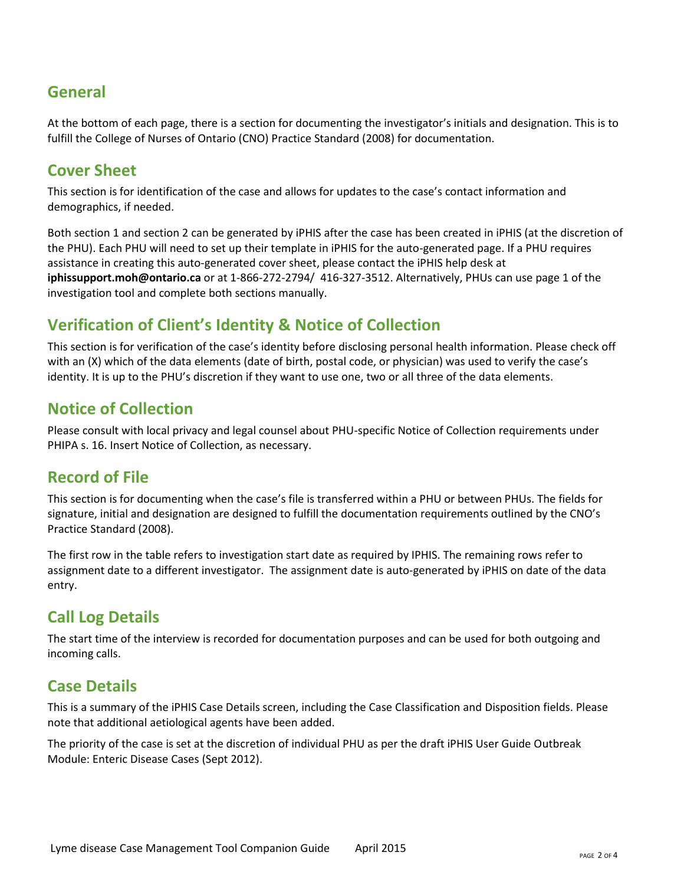### **General**

At the bottom of each page, there is a section for documenting the investigator's initials and designation. This is to fulfill the College of Nurses of Ontario (CNO) Practice Standard (2008) for documentation.

#### **Cover Sheet**

This section is for identification of the case and allows for updates to the case's contact information and demographics, if needed.

Both section 1 and section 2 can be generated by iPHIS after the case has been created in iPHIS (at the discretion of the PHU). Each PHU will need to set up their template in iPHIS for the auto-generated page. If a PHU requires assistance in creating this auto-generated cover sheet, please contact the iPHIS help desk at **[iphissupport.moh@ontario.ca](mailto:iphissupport.moh@ontario.ca)** or at 1-866-272-2794/ 416-327-3512. Alternatively, PHUs can use page 1 of the investigation tool and complete both sections manually.

#### **Verification of Client's Identity & Notice of Collection**

This section is for verification of the case's identity before disclosing personal health information. Please check off with an (X) which of the data elements (date of birth, postal code, or physician) was used to verify the case's identity. It is up to the PHU's discretion if they want to use one, two or all three of the data elements.

#### **Notice of Collection**

Please consult with local privacy and legal counsel about PHU-specific Notice of Collection requirements under PHIPA s. 16. Insert Notice of Collection, as necessary.

#### **Record of File**

This section is for documenting when the case's file is transferred within a PHU or between PHUs. The fields for signature, initial and designation are designed to fulfill the documentation requirements outlined by the CNO's Practice Standard (2008).

The first row in the table refers to investigation start date as required by IPHIS. The remaining rows refer to assignment date to a different investigator. The assignment date is auto-generated by iPHIS on date of the data entry.

#### **Call Log Details**

The start time of the interview is recorded for documentation purposes and can be used for both outgoing and incoming calls.

#### **Case Details**

This is a summary of the iPHIS Case Details screen, including the Case Classification and Disposition fields. Please note that additional aetiological agents have been added.

The priority of the case is set at the discretion of individual PHU as per the draft iPHIS User Guide Outbreak Module: Enteric Disease Cases (Sept 2012).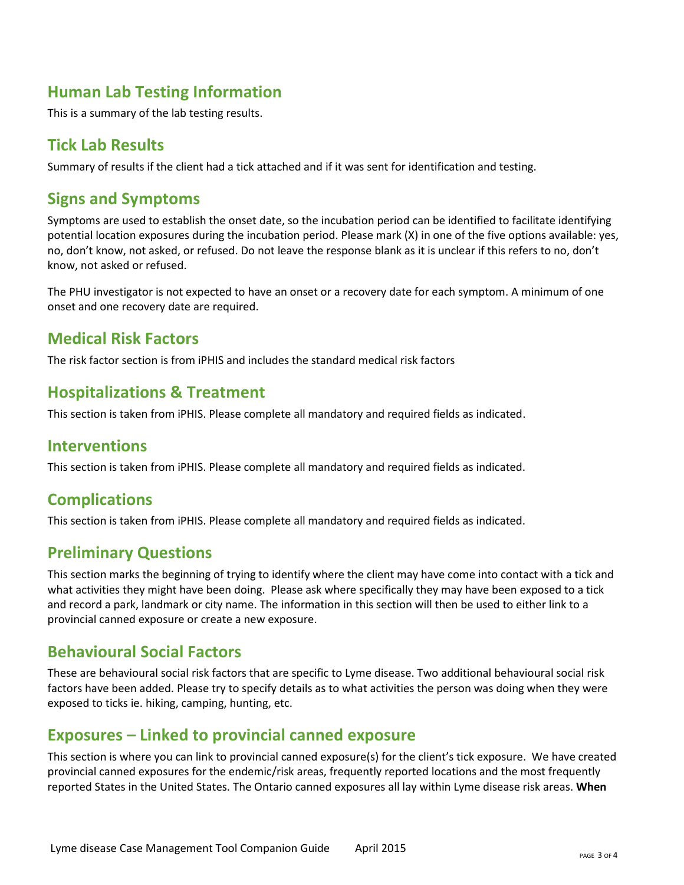### **Human Lab Testing Information**

This is a summary of the lab testing results.

#### **Tick Lab Results**

Summary of results if the client had a tick attached and if it was sent for identification and testing.

#### **Signs and Symptoms**

Symptoms are used to establish the onset date, so the incubation period can be identified to facilitate identifying potential location exposures during the incubation period. Please mark (X) in one of the five options available: yes, no, don't know, not asked, or refused. Do not leave the response blank as it is unclear if this refers to no, don't know, not asked or refused.

The PHU investigator is not expected to have an onset or a recovery date for each symptom. A minimum of one onset and one recovery date are required.

#### **Medical Risk Factors**

The risk factor section is from iPHIS and includes the standard medical risk factors

#### **Hospitalizations & Treatment**

This section is taken from iPHIS. Please complete all mandatory and required fields as indicated.

#### **Interventions**

This section is taken from iPHIS. Please complete all mandatory and required fields as indicated.

#### **Complications**

This section is taken from iPHIS. Please complete all mandatory and required fields as indicated.

#### **Preliminary Questions**

This section marks the beginning of trying to identify where the client may have come into contact with a tick and what activities they might have been doing. Please ask where specifically they may have been exposed to a tick and record a park, landmark or city name. The information in this section will then be used to either link to a provincial canned exposure or create a new exposure.

#### **Behavioural Social Factors**

These are behavioural social risk factors that are specific to Lyme disease. Two additional behavioural social risk factors have been added. Please try to specify details as to what activities the person was doing when they were exposed to ticks ie. hiking, camping, hunting, etc.

#### **Exposures – Linked to provincial canned exposure**

This section is where you can link to provincial canned exposure(s) for the client's tick exposure. We have created provincial canned exposures for the endemic/risk areas, frequently reported locations and the most frequently reported States in the United States. The Ontario canned exposures all lay within Lyme disease risk areas. **When**